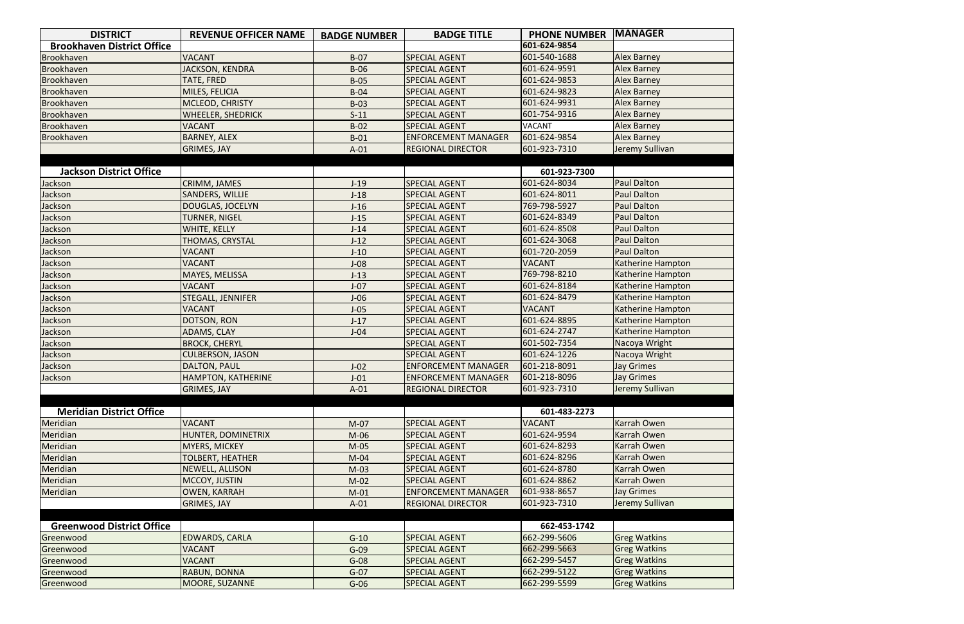| <b>DISTRICT</b>                   | <b>REVENUE OFFICER NAME</b> | <b>BADGE NUMBER</b> | <b>BADGE TITLE</b>         | <b>PHONE NUMBER</b> | <b>MANAGER</b>           |
|-----------------------------------|-----------------------------|---------------------|----------------------------|---------------------|--------------------------|
| <b>Brookhaven District Office</b> |                             |                     |                            | 601-624-9854        |                          |
| Brookhaven                        | <b>VACANT</b>               | $B-07$              | <b>SPECIAL AGENT</b>       | 601-540-1688        | <b>Alex Barney</b>       |
| Brookhaven                        | <b>JACKSON, KENDRA</b>      | $B-06$              | <b>SPECIAL AGENT</b>       | 601-624-9591        | <b>Alex Barney</b>       |
| Brookhaven                        | TATE, FRED                  | $B-05$              | <b>SPECIAL AGENT</b>       | 601-624-9853        | Alex Barney              |
| Brookhaven                        | MILES, FELICIA              | $B-04$              | <b>SPECIAL AGENT</b>       | 601-624-9823        | <b>Alex Barney</b>       |
| Brookhaven                        | MCLEOD, CHRISTY             | $B-03$              | <b>SPECIAL AGENT</b>       | 601-624-9931        | <b>Alex Barney</b>       |
| Brookhaven                        | <b>WHEELER, SHEDRICK</b>    | $S-11$              | <b>SPECIAL AGENT</b>       | 601-754-9316        | Alex Barney              |
| Brookhaven                        | <b>VACANT</b>               | $B-02$              | <b>SPECIAL AGENT</b>       | <b>VACANT</b>       | <b>Alex Barney</b>       |
| Brookhaven                        | <b>BARNEY, ALEX</b>         | $B-01$              | <b>ENFORCEMENT MANAGER</b> | 601-624-9854        | <b>Alex Barney</b>       |
|                                   | <b>GRIMES, JAY</b>          | $A-01$              | <b>REGIONAL DIRECTOR</b>   | 601-923-7310        | Jeremy Sullivan          |
|                                   |                             |                     |                            |                     |                          |
| <b>Jackson District Office</b>    |                             |                     |                            | 601-923-7300        |                          |
| Jackson                           | CRIMM, JAMES                | $J-19$              | <b>SPECIAL AGENT</b>       | 601-624-8034        | <b>Paul Dalton</b>       |
| Jackson                           | <b>SANDERS, WILLIE</b>      | $J-18$              | <b>SPECIAL AGENT</b>       | 601-624-8011        | <b>Paul Dalton</b>       |
| Jackson                           | <b>DOUGLAS, JOCELYN</b>     | $J-16$              | <b>SPECIAL AGENT</b>       | 769-798-5927        | <b>Paul Dalton</b>       |
| Jackson                           | <b>TURNER, NIGEL</b>        | $J-15$              | <b>SPECIAL AGENT</b>       | 601-624-8349        | <b>Paul Dalton</b>       |
| Jackson                           | WHITE, KELLY                | $J-14$              | <b>SPECIAL AGENT</b>       | 601-624-8508        | <b>Paul Dalton</b>       |
| Jackson                           | THOMAS, CRYSTAL             | $J-12$              | <b>SPECIAL AGENT</b>       | 601-624-3068        | <b>Paul Dalton</b>       |
| Jackson                           | <b>VACANT</b>               | $J-10$              | <b>SPECIAL AGENT</b>       | 601-720-2059        | Paul Dalton              |
| Jackson                           | <b>VACANT</b>               | $J-08$              | <b>SPECIAL AGENT</b>       | <b>VACANT</b>       | <b>Katherine Hampton</b> |
| Jackson                           | MAYES, MELISSA              | $J-13$              | <b>SPECIAL AGENT</b>       | 769-798-8210        | Katherine Hampton        |
| Jackson                           | <b>VACANT</b>               | $J-07$              | <b>SPECIAL AGENT</b>       | 601-624-8184        | Katherine Hampton        |
| Jackson                           | STEGALL, JENNIFER           | $J-06$              | <b>SPECIAL AGENT</b>       | 601-624-8479        | Katherine Hampton        |
| Jackson                           | <b>VACANT</b>               | $J-05$              | <b>SPECIAL AGENT</b>       | <b>VACANT</b>       | Katherine Hampton        |
| Jackson                           | DOTSON, RON                 | $J-17$              | <b>SPECIAL AGENT</b>       | 601-624-8895        | Katherine Hampton        |
| Jackson                           | ADAMS, CLAY                 | $J-04$              | <b>SPECIAL AGENT</b>       | 601-624-2747        | Katherine Hampton        |
| Jackson                           | <b>BROCK, CHERYL</b>        |                     | <b>SPECIAL AGENT</b>       | 601-502-7354        | Nacoya Wright            |
| Jackson                           | <b>CULBERSON, JASON</b>     |                     | <b>SPECIAL AGENT</b>       | 601-624-1226        | Nacoya Wright            |
| Jackson                           | <b>DALTON, PAUL</b>         | $J-02$              | <b>ENFORCEMENT MANAGER</b> | 601-218-8091        | <b>Jay Grimes</b>        |
| Jackson                           | <b>HAMPTON, KATHERINE</b>   | $J-01$              | <b>ENFORCEMENT MANAGER</b> | 601-218-8096        | <b>Jay Grimes</b>        |
|                                   | <b>GRIMES, JAY</b>          | $A-01$              | <b>REGIONAL DIRECTOR</b>   | 601-923-7310        | Jeremy Sullivan          |
|                                   |                             |                     |                            |                     |                          |
| <b>Meridian District Office</b>   |                             |                     |                            | 601-483-2273        |                          |
| Meridian                          | <b>VACANT</b>               | $M-07$              | <b>SPECIAL AGENT</b>       | <b>VACANT</b>       | Karrah Owen              |
| Meridian                          | HUNTER, DOMINETRIX          | $M-06$              | <b>SPECIAL AGENT</b>       | 601-624-9594        | Karrah Owen              |
| Meridian                          | MYERS, MICKEY               | $M-05$              | <b>SPECIAL AGENT</b>       | 601-624-8293        | Karrah Owen              |
| Meridian                          | <b>TOLBERT, HEATHER</b>     | $M-04$              | <b>SPECIAL AGENT</b>       | 601-624-8296        | Karrah Owen              |
| Meridian                          | <b>NEWELL, ALLISON</b>      | $M-03$              | <b>SPECIAL AGENT</b>       | 601-624-8780        | Karrah Owen              |
| Meridian                          | MCCOY, JUSTIN               | $M-02$              | <b>SPECIAL AGENT</b>       | 601-624-8862        | Karrah Owen              |
| Meridian                          | <b>OWEN, KARRAH</b>         | $M-01$              | <b>ENFORCEMENT MANAGER</b> | 601-938-8657        | <b>Jay Grimes</b>        |
|                                   | <b>GRIMES, JAY</b>          | $A-01$              | <b>REGIONAL DIRECTOR</b>   | 601-923-7310        | Jeremy Sullivan          |
|                                   |                             |                     |                            |                     |                          |
| <b>Greenwood District Office</b>  |                             |                     |                            | 662-453-1742        |                          |
| Greenwood                         | <b>EDWARDS, CARLA</b>       | $G-10$              | <b>SPECIAL AGENT</b>       | 662-299-5606        | <b>Greg Watkins</b>      |
| Greenwood                         | <b>VACANT</b>               | $G-09$              | <b>SPECIAL AGENT</b>       | 662-299-5663        | <b>Greg Watkins</b>      |
| Greenwood                         | <b>VACANT</b>               | $G-08$              | <b>SPECIAL AGENT</b>       | 662-299-5457        | <b>Greg Watkins</b>      |
| Greenwood                         | RABUN, DONNA                | $G-07$              | <b>SPECIAL AGENT</b>       | 662-299-5122        | <b>Greg Watkins</b>      |
| Greenwood                         | MOORE, SUZANNE              | $G-06$              | <b>SPECIAL AGENT</b>       | 662-299-5599        | <b>Greg Watkins</b>      |

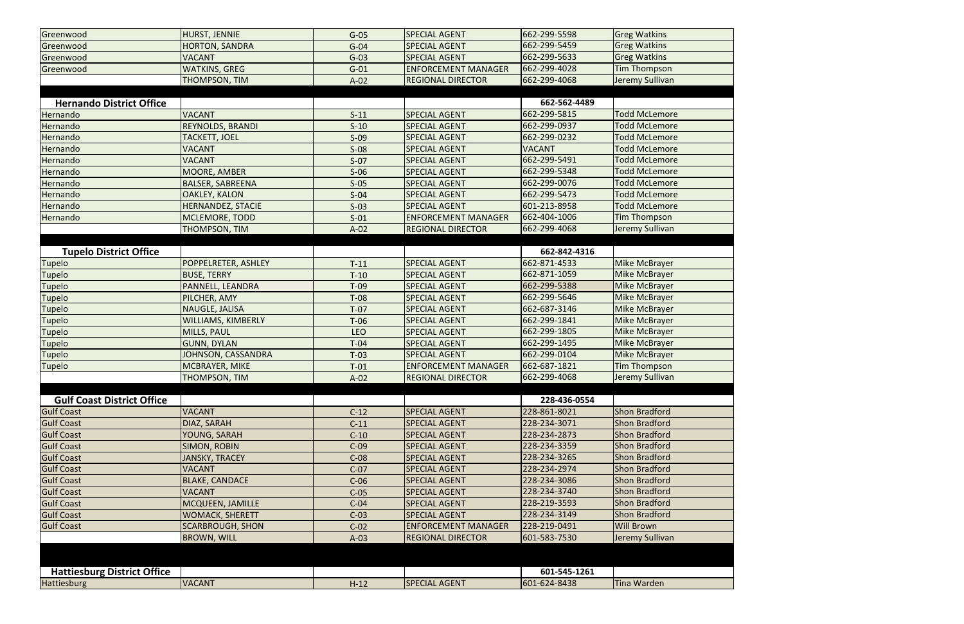| Greenwood                          | HURST, JENNIE             | $G-05$     | <b>SPECIAL AGENT</b>       | 662-299-5598  | <b>Greg Watkins</b>  |
|------------------------------------|---------------------------|------------|----------------------------|---------------|----------------------|
| Greenwood                          | <b>HORTON, SANDRA</b>     | $G-04$     | <b>SPECIAL AGENT</b>       | 662-299-5459  | <b>Greg Watkins</b>  |
| Greenwood                          | <b>VACANT</b>             | $G-03$     | <b>SPECIAL AGENT</b>       | 662-299-5633  | <b>Greg Watkins</b>  |
| Greenwood                          | <b>WATKINS, GREG</b>      | $G-01$     | <b>ENFORCEMENT MANAGER</b> | 662-299-4028  | <b>Tim Thompson</b>  |
|                                    | <b>THOMPSON, TIM</b>      | $A-02$     | <b>REGIONAL DIRECTOR</b>   | 662-299-4068  | Jeremy Sullivan      |
|                                    |                           |            |                            |               |                      |
| <b>Hernando District Office</b>    |                           |            |                            | 662-562-4489  |                      |
| Hernando                           | <b>VACANT</b>             | $S-11$     | <b>SPECIAL AGENT</b>       | 662-299-5815  | <b>Todd McLemore</b> |
| Hernando                           | <b>REYNOLDS, BRANDI</b>   | $S-10$     | <b>SPECIAL AGENT</b>       | 662-299-0937  | <b>Todd McLemore</b> |
| Hernando                           | <b>TACKETT, JOEL</b>      | $S-09$     | <b>SPECIAL AGENT</b>       | 662-299-0232  | <b>Todd McLemore</b> |
| Hernando                           | <b>VACANT</b>             | $S-08$     | <b>SPECIAL AGENT</b>       | <b>VACANT</b> | <b>Todd McLemore</b> |
| Hernando                           | <b>VACANT</b>             | $S-07$     | <b>SPECIAL AGENT</b>       | 662-299-5491  | <b>Todd McLemore</b> |
| Hernando                           | MOORE, AMBER              | $S-06$     | <b>SPECIAL AGENT</b>       | 662-299-5348  | <b>Todd McLemore</b> |
| Hernando                           | <b>BALSER, SABREENA</b>   | $S-05$     | <b>SPECIAL AGENT</b>       | 662-299-0076  | <b>Todd McLemore</b> |
| Hernando                           | <b>OAKLEY, KALON</b>      | $S-04$     | <b>SPECIAL AGENT</b>       | 662-299-5473  | <b>Todd McLemore</b> |
| Hernando                           | <b>HERNANDEZ, STACIE</b>  | $S-03$     | <b>SPECIAL AGENT</b>       | 601-213-8958  | <b>Todd McLemore</b> |
| Hernando                           | MCLEMORE, TODD            | $S-01$     | <b>ENFORCEMENT MANAGER</b> | 662-404-1006  | Tim Thompson         |
|                                    | THOMPSON, TIM             | $A-02$     | <b>REGIONAL DIRECTOR</b>   | 662-299-4068  | Jeremy Sullivan      |
|                                    |                           |            |                            |               |                      |
| <b>Tupelo District Office</b>      |                           |            |                            | 662-842-4316  |                      |
| <b>Tupelo</b>                      | POPPELRETER, ASHLEY       | $T-11$     | <b>SPECIAL AGENT</b>       | 662-871-4533  | Mike McBrayer        |
| Tupelo                             | <b>BUSE, TERRY</b>        | $T-10$     | <b>SPECIAL AGENT</b>       | 662-871-1059  | <b>Mike McBrayer</b> |
| <b>Tupelo</b>                      | PANNELL, LEANDRA          | $T-09$     | <b>SPECIAL AGENT</b>       | 662-299-5388  | Mike McBrayer        |
| Tupelo                             | PILCHER, AMY              | $T-08$     | <b>SPECIAL AGENT</b>       | 662-299-5646  | <b>Mike McBrayer</b> |
| Tupelo                             | NAUGLE, JALISA            | $T-07$     | <b>SPECIAL AGENT</b>       | 662-687-3146  | <b>Mike McBrayer</b> |
| <b>Tupelo</b>                      | <b>WILLIAMS, KIMBERLY</b> | $T-06$     | <b>SPECIAL AGENT</b>       | 662-299-1841  | Mike McBrayer        |
| Tupelo                             | MILLS, PAUL               | <b>LEO</b> | <b>SPECIAL AGENT</b>       | 662-299-1805  | Mike McBrayer        |
| Tupelo                             | <b>GUNN, DYLAN</b>        | $T-04$     | <b>SPECIAL AGENT</b>       | 662-299-1495  | <b>Mike McBrayer</b> |
| <b>Tupelo</b>                      | <b>JOHNSON, CASSANDRA</b> | $T-03$     | <b>SPECIAL AGENT</b>       | 662-299-0104  | <b>Mike McBrayer</b> |
| <b>Tupelo</b>                      | MCBRAYER, MIKE            | $T-01$     | <b>ENFORCEMENT MANAGER</b> | 662-687-1821  | <b>Tim Thompson</b>  |
|                                    | <b>THOMPSON, TIM</b>      | $A-02$     | <b>REGIONAL DIRECTOR</b>   | 662-299-4068  | Jeremy Sullivan      |
|                                    |                           |            |                            |               |                      |
| <b>Gulf Coast District Office</b>  |                           |            |                            | 228-436-0554  |                      |
| <b>Gulf Coast</b>                  | <b>VACANT</b>             | $C-12$     | <b>SPECIAL AGENT</b>       | 228-861-8021  | Shon Bradford        |
| <b>Gulf Coast</b>                  | <b>DIAZ, SARAH</b>        | $C-11$     | <b>SPECIAL AGENT</b>       | 228-234-3071  | <b>Shon Bradford</b> |
| <b>Gulf Coast</b>                  | YOUNG, SARAH              | $C-10$     | <b>SPECIAL AGENT</b>       | 228-234-2873  | <b>Shon Bradford</b> |
| <b>Gulf Coast</b>                  | <b>SIMON, ROBIN</b>       | $C-09$     | <b>SPECIAL AGENT</b>       | 228-234-3359  | Shon Bradford        |
| <b>Gulf Coast</b>                  | <b>JANSKY, TRACEY</b>     | $C-08$     | <b>SPECIAL AGENT</b>       | 228-234-3265  | Shon Bradford        |
| <b>Gulf Coast</b>                  | <b>VACANT</b>             | $C-07$     | <b>SPECIAL AGENT</b>       | 228-234-2974  | <b>Shon Bradford</b> |
| <b>Gulf Coast</b>                  | <b>BLAKE, CANDACE</b>     | $C-06$     | <b>SPECIAL AGENT</b>       | 228-234-3086  | Shon Bradford        |
| <b>Gulf Coast</b>                  | <b>VACANT</b>             | $C-05$     | <b>SPECIAL AGENT</b>       | 228-234-3740  | Shon Bradford        |
| <b>Gulf Coast</b>                  | <b>MCQUEEN, JAMILLE</b>   | $C-04$     | <b>SPECIAL AGENT</b>       | 228-219-3593  | <b>Shon Bradford</b> |
| <b>Gulf Coast</b>                  | <b>WOMACK, SHERETT</b>    | $C-03$     | <b>SPECIAL AGENT</b>       | 228-234-3149  | <b>Shon Bradford</b> |
| <b>Gulf Coast</b>                  | <b>SCARBROUGH, SHON</b>   | $C-02$     | <b>ENFORCEMENT MANAGER</b> | 228-219-0491  | <b>Will Brown</b>    |
|                                    | <b>BROWN, WILL</b>        | $A-03$     | <b>REGIONAL DIRECTOR</b>   | 601-583-7530  | Jeremy Sullivan      |
|                                    |                           |            |                            |               |                      |
|                                    |                           |            |                            |               |                      |
| <b>Hattiesburg District Office</b> |                           |            |                            | 601-545-1261  |                      |
| <b>Hattiesburg</b>                 | <b>VACANT</b>             | $H-12$     | <b>SPECIAL AGENT</b>       | 601-624-8438  | <b>Tina Warden</b>   |